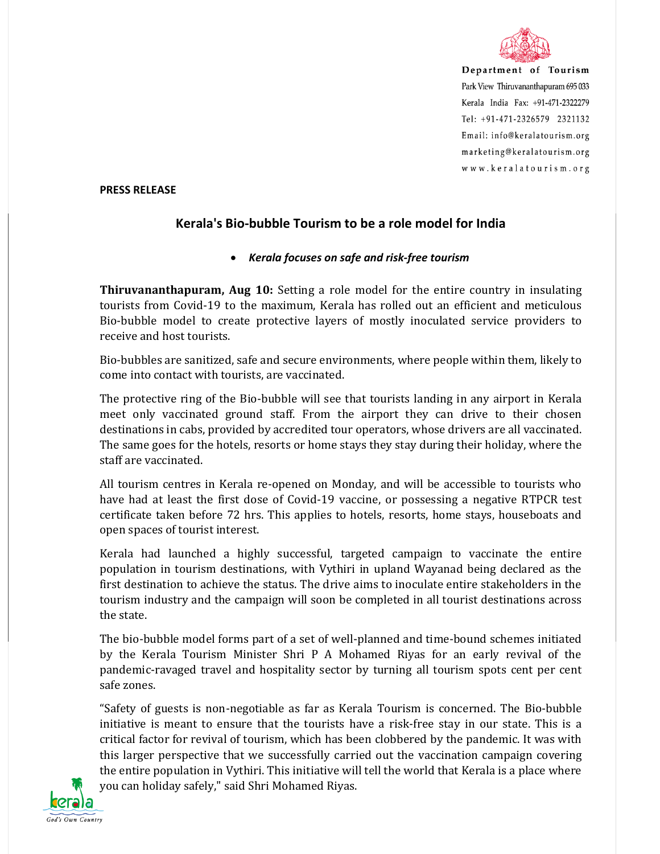

Department of Tourism Park View Thiruvananthapuram 695 033 Kerala India Fax: +91-471-2322279 Tel: +91-471-2326579 2321132 Email: info@keralatourism.org marketing@keralatourism.org www.keralatourism.org

## **PRESS RELEASE**

## **Kerala's Bio-bubble Tourism to be a role model for India**

## *Kerala focuses on safe and risk-free tourism*

**Thiruvananthapuram, Aug 10:** Setting a role model for the entire country in insulating tourists from Covid-19 to the maximum, Kerala has rolled out an efficient and meticulous Bio-bubble model to create protective layers of mostly inoculated service providers to receive and host tourists.

Bio-bubbles are sanitized, safe and secure environments, where people within them, likely to come into contact with tourists, are vaccinated.

The protective ring of the Bio-bubble will see that tourists landing in any airport in Kerala meet only vaccinated ground staff. From the airport they can drive to their chosen destinations in cabs, provided by accredited tour operators, whose drivers are all vaccinated. The same goes for the hotels, resorts or home stays they stay during their holiday, where the staff are vaccinated.

All tourism centres in Kerala re-opened on Monday, and will be accessible to tourists who have had at least the first dose of Covid-19 vaccine, or possessing a negative RTPCR test certificate taken before 72 hrs. This applies to hotels, resorts, home stays, houseboats and open spaces of tourist interest.

Kerala had launched a highly successful, targeted campaign to vaccinate the entire population in tourism destinations, with Vythiri in upland Wayanad being declared as the first destination to achieve the status. The drive aims to inoculate entire stakeholders in the tourism industry and the campaign will soon be completed in all tourist destinations across the state.

The bio-bubble model forms part of a set of well-planned and time-bound schemes initiated by the Kerala Tourism Minister Shri P A Mohamed Riyas for an early revival of the pandemic-ravaged travel and hospitality sector by turning all tourism spots cent per cent safe zones.

"Safety of guests is non-negotiable as far as Kerala Tourism is concerned. The Bio-bubble initiative is meant to ensure that the tourists have a risk-free stay in our state. This is a critical factor for revival of tourism, which has been clobbered by the pandemic. It was with this larger perspective that we successfully carried out the vaccination campaign covering the entire population in Vythiri. This initiative will tell the world that Kerala is a place where you can holiday safely," said Shri Mohamed Riyas.